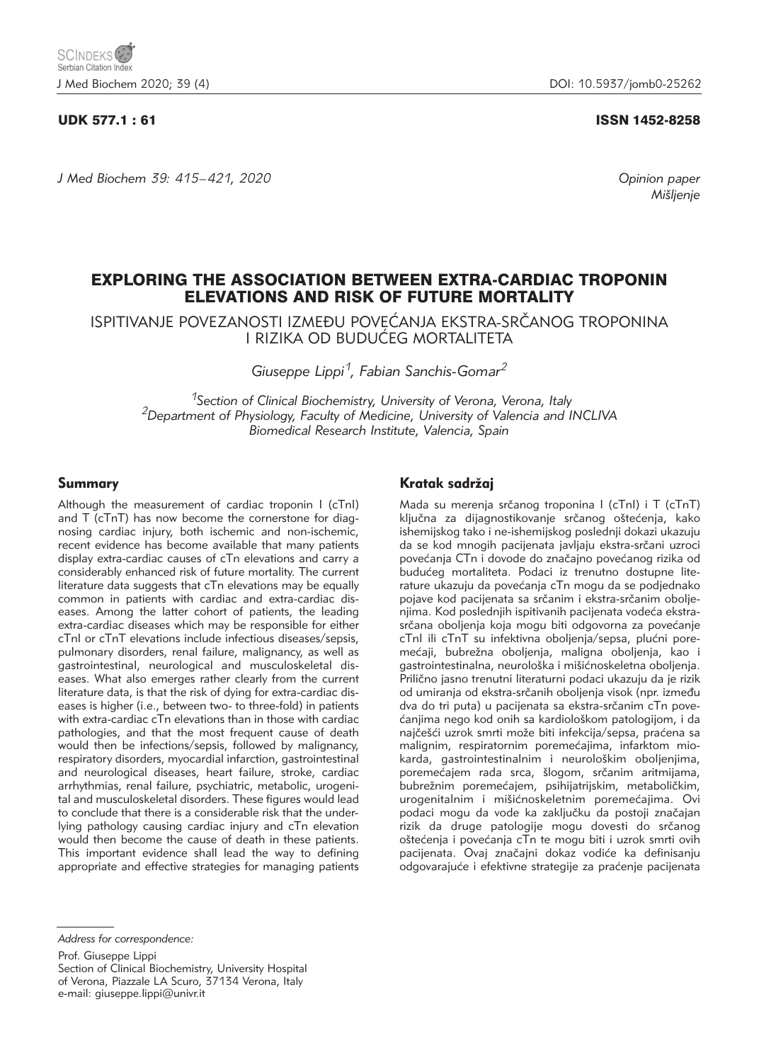*J Med Biochem 39: 415–421, 2020 Opinion paper*

### UDK 577.1 : 61 ISSN 1452-8258

*Mi{ljenje*

# EXPLORING THE ASSOCIATION BETWEEN EXTRA-CARDIAC TROPONIN ELEVATIONS AND RISK OF FUTURE MORTALITY

ISPITIVANJE POVEZANOSTI IZMEĐU POVEĆANJA EKSTRA-SRČANOG TROPONINA I RIZIKA OD BUDU]EG MORTALITETA

*Giuseppe Lippi1, Fabian Sanchis-Gomar2*

*1Section of Clinical Biochemistry, University of Verona, Verona, Italy 2Department of Physiology, Faculty of Medicine, University of Valencia and INCLIVA Biomedical Research Institute, Valencia, Spain*

#### Summary

Although the measurement of cardiac troponin I (cTnI) and T (cTnT) has now become the cornerstone for diagnosing cardiac injury, both ischemic and non-ischemic, recent evidence has become available that many patients display extra-cardiac causes of cTn elevations and carry a considerably enhanced risk of future mortality. The current literature data suggests that cTn elevations may be equally common in patients with cardiac and extra-cardiac diseases. Among the latter cohort of patients, the leading extra-cardiac diseases which may be responsible for either cTnI or cTnT elevations include infectious diseases/sepsis, pulmonary disorders, renal failure, malignancy, as well as gastrointestinal, neurological and musculoskeletal diseases. What also emerges rather clearly from the current literature data, is that the risk of dying for extra-cardiac diseases is higher (i.e., between two- to three-fold) in patients with extra-cardiac cTn elevations than in those with cardiac pathologies, and that the most frequent cause of death would then be infections/sepsis, followed by malignancy, respiratory disorders, myocardial infarction, gastrointestinal and neurological diseases, heart failure, stroke, cardiac arrhythmias, renal failure, psychiatric, metabolic, urogenital and musculoskeletal disorders. These figures would lead to conclude that there is a considerable risk that the underlying pathology causing cardiac injury and cTn elevation would then become the cause of death in these patients. This important evidence shall lead the way to defining appropriate and effective strategies for managing patients

# Kratak sadržaj

Mada su merenja srčanog troponina I (cTnI) i T (cTnT) ključna za dijagnostikovanje srčanog oštećenja, kako ishemijskog tako i ne-ishemijskog poslednji dokazi ukazuju da se kod mnogih pacijenata javljaju ekstra-srčani uzroci povećanja CTn i dovode do značajno povećanog rizika od budućeg mortaliteta. Podaci iz trenutno dostupne literature ukazuju da povećanja cTn mogu da se podjednako pojave kod pacijenata sa srčanim i ekstra-srčanim oboljenjima. Kod poslednjih ispitivanih pacijenata vodeća ekstrasrčana oboljenja koja mogu biti odgovorna za povećanje cTnI ili cTnT su infektivna oboljenja/sepsa, plućni poremećaji, bubrežna oboljenja, maligna oboljenja, kao i gastrointestinalna, neurološka i mišićnoskeletna oboljenja. Prilično jasno trenutni literaturni podaci ukazuju da je rizik od umiranja od ekstra-srčanih oboljenja visok (npr. između dva do tri puta) u pacijenata sa ekstra-srčanim cTn povećaniima nego kod onih sa kardiološkom patologijom, i da najčešći uzrok smrti može biti infekcija/sepsa, praćena sa malignim, respiratornim poremećajima, infarktom miokarda, gastrointestinalnim i neurološkim oboljenjima, poremećajem rada srca, šlogom, srčanim aritmijama, bubrežnim poremećajem, psihijatrijskim, metaboličkim, urogenitalnim i mišićnoskeletnim poremećajima. Ovi podaci mogu da vode ka zaključku da postoji značajan rizik da druge patologije mogu dovesti do srčanog oštećenja i povećanja cTn te mogu biti i uzrok smrti ovih pacijenata. Ovaj značajni dokaz vodiće ka definisanju odgovarajuće i efektivne strategije za praćenje pacijenata

*Address for correspondence:* 

Prof. Giuseppe Lippi Section of Clinical Biochemistry, University Hospital of Verona, Piazzale LA Scuro, 37134 Verona, Italy e-mail: giuseppe.lippi@univr.it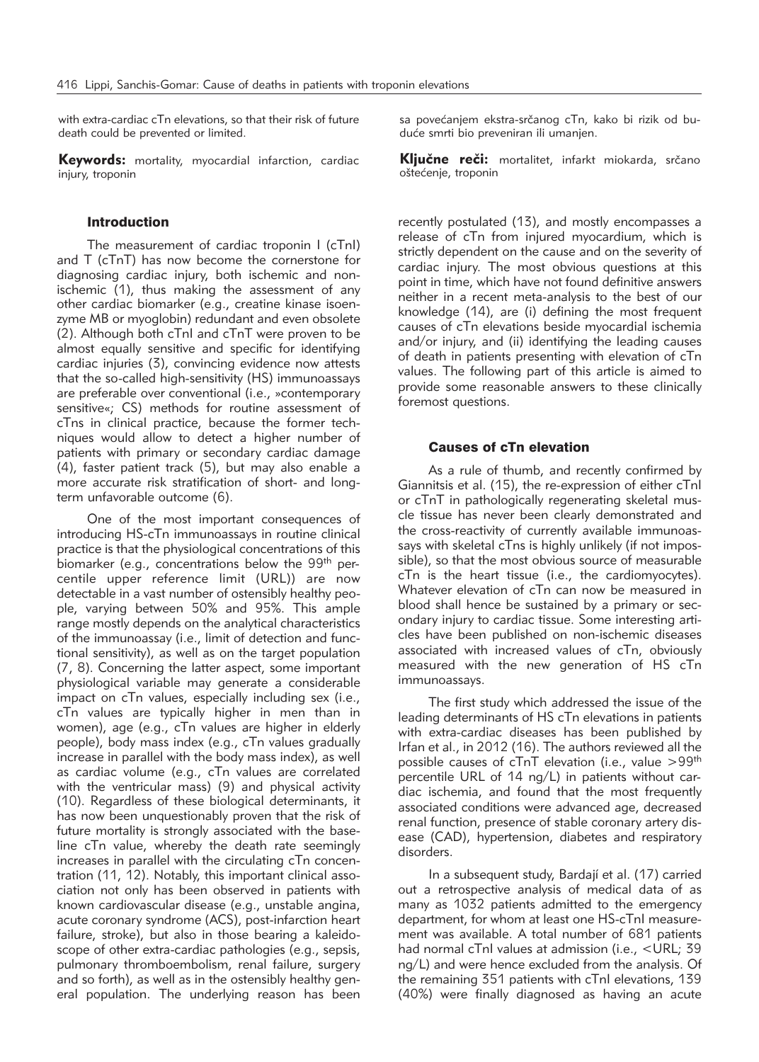with extra-cardiac cTn elevations, so that their risk of future death could be prevented or limited.

Keywords: mortality, myocardial infarction, cardiac injury, troponin

#### **Introduction**

The measurement of cardiac troponin I (cTnI) and T (cTnT) has now become the cornerstone for diagnosing cardiac injury, both ischemic and nonischemic (1), thus making the assessment of any other cardiac biomarker (e.g., creatine kinase isoenzyme MB or myoglobin) redundant and even obsolete (2). Although both cTnI and cTnT were proven to be almost equally sensitive and specific for identifying cardiac injuries (3), convincing evidence now attests that the so-called high-sensitivity (HS) immunoassays are preferable over conventional (i.e., »contemporary sensitive«; CS) methods for routine assessment of cTns in clinical practice, because the former techniques would allow to detect a higher number of patients with primary or secondary cardiac damage (4), faster patient track (5), but may also enable a more accurate risk stratification of short- and longterm unfavorable outcome (6).

One of the most important consequences of introducing HS-cTn immunoassays in routine clinical practice is that the physiological concentrations of this biomarker (e.g., concentrations below the 99<sup>th</sup> percentile upper reference limit (URL)) are now detectable in a vast number of ostensibly healthy people, varying between 50% and 95%. This ample range mostly depends on the analytical characteristics of the immunoassay (i.e., limit of detection and functional sensitivity), as well as on the target population (7, 8). Concerning the latter aspect, some important physiological variable may generate a considerable impact on cTn values, especially including sex (i.e., cTn values are typically higher in men than in women), age (e.g., cTn values are higher in elderly people), body mass index (e.g., cTn values gradually increase in parallel with the body mass index), as well as cardiac volume (e.g., cTn values are correlated with the ventricular mass) (9) and physical activity (10). Regardless of these biological determinants, it has now been unquestionably proven that the risk of future mortality is strongly associated with the baseline cTn value, whereby the death rate seemingly increases in parallel with the circulating cTn concentration (11, 12). Notably, this important clinical association not only has been observed in patients with known cardiovascular disease (e.g., unstable angina, acute coronary syndrome (ACS), post-infarction heart failure, stroke), but also in those bearing a kaleidoscope of other extra-cardiac pathologies (e.g., sepsis, pulmonary thromboembolism, renal failure, surgery and so forth), as well as in the ostensibly healthy general population. The underlying reason has been

sa povećanjem ekstra-srčanog cTn, kako bi rizik od buduće smrti bio preveniran ili umanien.

Ključne reči: mortalitet, infarkt miokarda, srčano oštećenje, troponin

recently postulated (13), and mostly encompasses a release of cTn from injured myocardium, which is strictly dependent on the cause and on the severity of cardiac injury. The most obvious questions at this point in time, which have not found definitive answers neither in a recent meta-analysis to the best of our knowledge (14), are (i) defining the most frequent causes of cTn elevations beside myocardial ischemia and/or injury, and (ii) identifying the leading causes of death in patients presenting with elevation of cTn values. The following part of this article is aimed to provide some reasonable answers to these clinically foremost questions.

### Causes of cTn elevation

As a rule of thumb, and recently confirmed by Giannitsis et al. (15), the re-expression of either cTnI or cTnT in pathologically regenerating skeletal muscle tissue has never been clearly demonstrated and the cross-reactivity of currently available immunoassays with skeletal cTns is highly unlikely (if not impossible), so that the most obvious source of measurable cTn is the heart tissue (i.e., the cardiomyocytes). Whatever elevation of cTn can now be measured in blood shall hence be sustained by a primary or secondary injury to cardiac tissue. Some interesting articles have been published on non-ischemic diseases associated with increased values of cTn, obviously measured with the new generation of HS cTn immunoassays.

The first study which addressed the issue of the leading determinants of HS cTn elevations in patients with extra-cardiac diseases has been published by Irfan et al., in 2012 (16). The authors reviewed all the possible causes of cTnT elevation (i.e., value  $>99^{th}$ percentile URL of 14 ng/L) in patients without cardiac ischemia, and found that the most frequently associated conditions were advanced age, decreased renal function, presence of stable coronary artery disease (CAD), hypertension, diabetes and respiratory disorders.

In a subsequent study, Bardají et al. (17) carried out a retrospective analysis of medical data of as many as 1032 patients admitted to the emergency department, for whom at least one HS-cTnI measurement was available. A total number of 681 patients had normal cTnI values at admission (i.e., <URL; 39 ng/L) and were hence excluded from the analysis. Of the remaining 351 patients with cTnI elevations, 139 (40%) were finally diagnosed as having an acute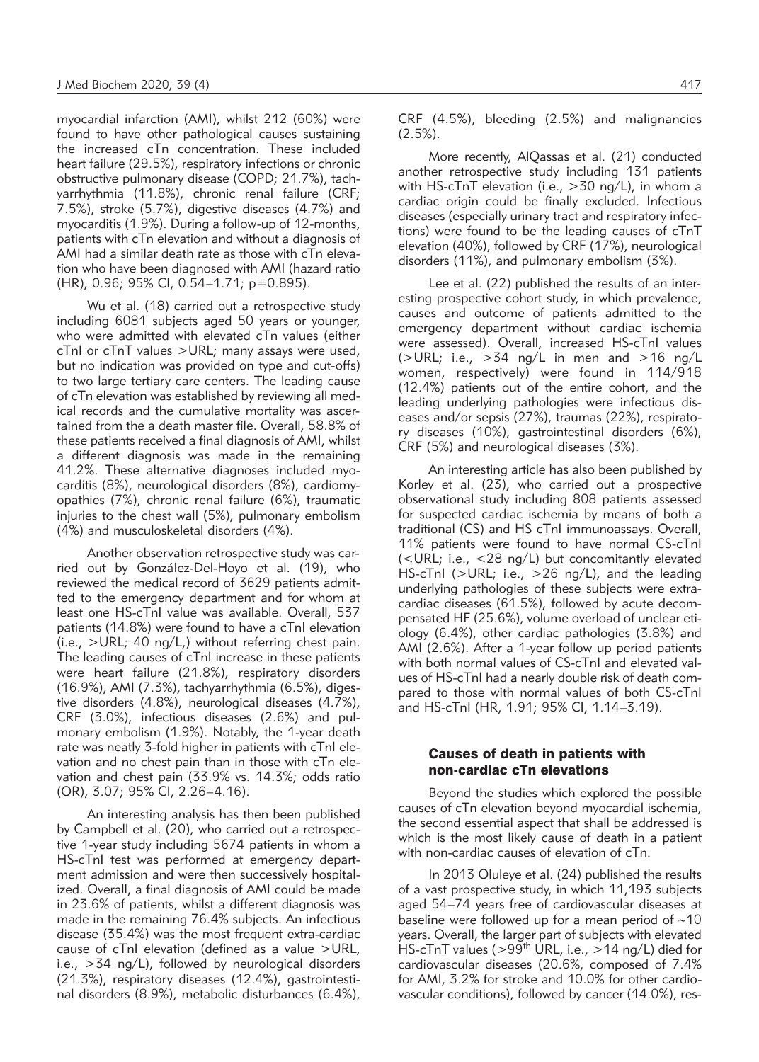myocardial infarction (AMI), whilst 212 (60%) were found to have other pathological causes sustaining the increased cTn concentration. These included heart failure (29.5%), respiratory infections or chronic obstructive pulmonary disease (COPD; 21.7%), tachyarrhythmia (11.8%), chronic renal failure (CRF; 7.5%), stroke (5.7%), digestive diseases (4.7%) and myocarditis (1.9%). During a follow-up of 12-months, patients with cTn elevation and without a diagnosis of AMI had a similar death rate as those with cTn elevation who have been diagnosed with AMI (hazard ratio (HR), 0.96; 95% CI, 0.54–1.71; p=0.895).

Wu et al. (18) carried out a retrospective study including 6081 subjects aged 50 years or younger, who were admitted with elevated cTn values (either cTnI or cTnT values >URL; many assays were used, but no indication was provided on type and cut-offs) to two large tertiary care centers. The leading cause of cTn elevation was established by reviewing all medical records and the cumulative mortality was ascertained from the a death master file. Overall, 58.8% of these patients received a final diagnosis of AMI, whilst a different diagnosis was made in the remaining 41.2%. These alternative diagnoses included myocarditis (8%), neurological disorders (8%), cardiomyopathies (7%), chronic renal failure (6%), traumatic injuries to the chest wall (5%), pulmonary embolism (4%) and musculoskeletal disorders (4%).

Another observation retrospective study was carried out by González-Del-Hoyo et al. (19), who reviewed the medical record of 3629 patients admitted to the emergency department and for whom at least one HS-cTnI value was available. Overall, 537 patients (14.8%) were found to have a cTnI elevation  $(i.e., >URL; 40 ng/L)$  without referring chest pain. The leading causes of cTnI increase in these patients were heart failure (21.8%), respiratory disorders (16.9%), AMI (7.3%), tachyarrhythmia (6.5%), digestive disorders (4.8%), neurological diseases (4.7%), CRF (3.0%), infectious diseases (2.6%) and pulmonary embolism (1.9%). Notably, the 1-year death rate was neatly 3-fold higher in patients with cTnI elevation and no chest pain than in those with cTn elevation and chest pain (33.9% vs. 14.3%; odds ratio (OR), 3.07; 95% CI, 2.26–4.16).

An interesting analysis has then been published by Campbell et al. (20), who carried out a retrospective 1-year study including 5674 patients in whom a HS-cTnI test was performed at emergency department admission and were then successively hospitalized. Overall, a final diagnosis of AMI could be made in 23.6% of patients, whilst a different diagnosis was made in the remaining 76.4% subjects. An infectious disease (35.4%) was the most frequent extra-cardiac cause of cTnI elevation (defined as a value >URL, i.e., >34 ng/L), followed by neurological disorders (21.3%), respiratory diseases (12.4%), gastrointestinal disorders (8.9%), metabolic disturbances (6.4%), CRF (4.5%), bleeding (2.5%) and malignancies (2.5%).

More recently, AlQassas et al. (21) conducted another retrospective study including 131 patients with HS-cTnT elevation (i.e., >30 ng/L), in whom a cardiac origin could be finally excluded. Infectious diseases (especially urinary tract and respiratory infections) were found to be the leading causes of cTnT elevation (40%), followed by CRF (17%), neurological disorders (11%), and pulmonary embolism (3%).

Lee et al. (22) published the results of an interesting prospective cohort study, in which prevalence, causes and outcome of patients admitted to the emergency department without cardiac ischemia were assessed). Overall, increased HS-cTnI values ( $>$ URL; i.e.,  $>$ 34 ng/L in men and  $>$ 16 ng/L women, respectively) were found in 114/918 (12.4%) patients out of the entire cohort, and the leading underlying pathologies were infectious diseases and/or sepsis (27%), traumas (22%), respiratory diseases (10%), gastrointestinal disorders (6%), CRF (5%) and neurological diseases (3%).

An interesting article has also been published by Korley et al. (23), who carried out a prospective observational study including 808 patients assessed for suspected cardiac ischemia by means of both a traditional (CS) and HS cTnI immunoassays. Overall, 11% patients were found to have normal CS-cTnI (<URL; i.e., <28 ng/L) but concomitantly elevated HS-cTnI (>URL; i.e., >26 ng/L), and the leading underlying pathologies of these subjects were extracardiac diseases (61.5%), followed by acute decompensated HF (25.6%), volume overload of unclear etiology (6.4%), other cardiac pathologies (3.8%) and AMI (2.6%). After a 1-year follow up period patients with both normal values of CS-cTnI and elevated values of HS-cTnI had a nearly double risk of death compared to those with normal values of both CS-cTnI and HS-cTnI (HR, 1.91; 95% CI, 1.14–3.19).

## Causes of death in patients with non-cardiac cTn elevations

Beyond the studies which explored the possible causes of cTn elevation beyond myocardial ischemia, the second essential aspect that shall be addressed is which is the most likely cause of death in a patient with non-cardiac causes of elevation of cTn.

In 2013 Oluleye et al. (24) published the results of a vast prospective study, in which 11,193 subjects aged 54–74 years free of cardiovascular diseases at baseline were followed up for a mean period of  $~10$ years. Overall, the larger part of subjects with elevated HS-cTnT values (>99<sup>th</sup> URL, i.e., >14 ng/L) died for cardiovascular diseases (20.6%, composed of 7.4% for AMI, 3.2% for stroke and 10.0% for other cardiovascular conditions), followed by cancer (14.0%), res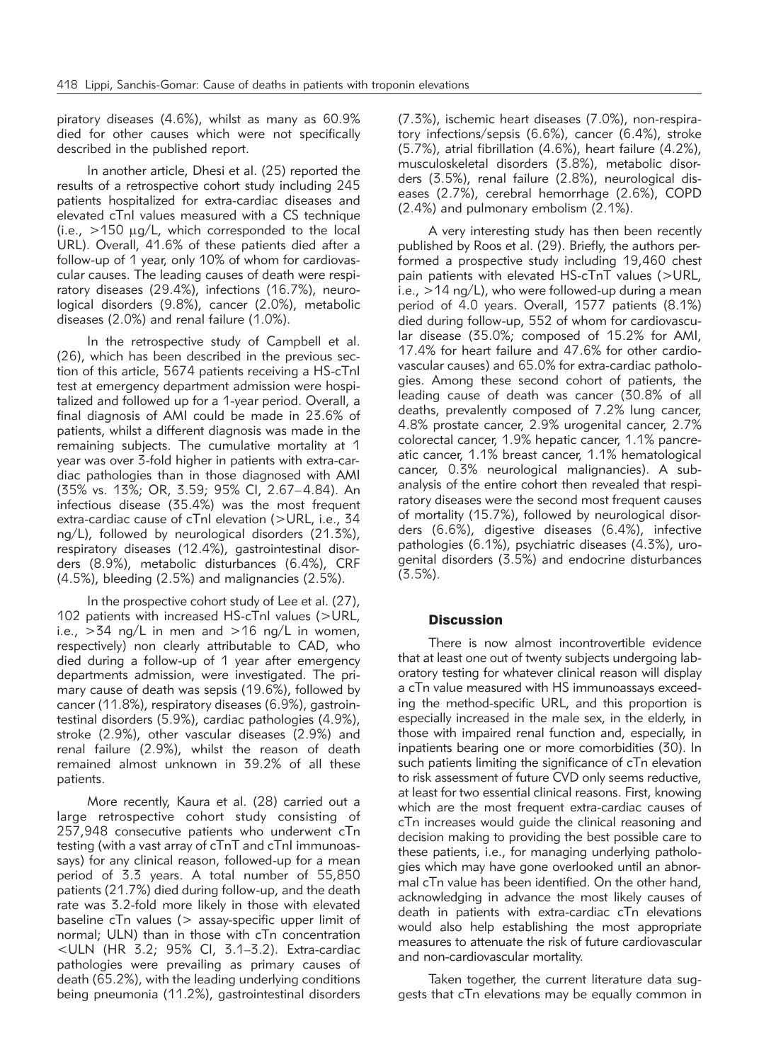piratory diseases (4.6%), whilst as many as 60.9% died for other causes which were not specifically described in the published report.

In another article, Dhesi et al. (25) reported the results of a retrospective cohort study including 245 patients hospitalized for extra-cardiac diseases and elevated cTnI values measured with a CS technique (i.e.,  $>150$   $\mu$ g/L, which corresponded to the local URL). Overall, 41.6% of these patients died after a follow-up of 1 year, only 10% of whom for cardiovascular causes. The leading causes of death were respiratory diseases (29.4%), infections (16.7%), neurological disorders (9.8%), cancer (2.0%), metabolic diseases (2.0%) and renal failure (1.0%).

In the retrospective study of Campbell et al. (26), which has been described in the previous section of this article, 5674 patients receiving a HS-cTnI test at emergency department admission were hospitalized and followed up for a 1-year period. Overall, a final diagnosis of AMI could be made in 23.6% of patients, whilst a different diagnosis was made in the remaining subjects. The cumulative mortality at 1 year was over 3-fold higher in patients with extra-cardiac pathologies than in those diagnosed with AMI (35% vs. 13%; OR, 3.59; 95% CI, 2.67–4.84). An infectious disease (35.4%) was the most frequent extra-cardiac cause of cTnI elevation (>URL, i.e., 34 ng/L), followed by neurological disorders (21.3%), respiratory diseases (12.4%), gastrointestinal disorders (8.9%), metabolic disturbances (6.4%), CRF (4.5%), bleeding (2.5%) and malignancies (2.5%).

In the prospective cohort study of Lee et al. (27), 102 patients with increased HS-cTnI values (>URL, i.e.,  $>34$  ng/L in men and  $>16$  ng/L in women, respectively) non clearly attributable to CAD, who died during a follow-up of 1 year after emergency departments admission, were investigated. The primary cause of death was sepsis (19.6%), followed by cancer (11.8%), respiratory diseases (6.9%), gastrointestinal disorders (5.9%), cardiac pathologies (4.9%), stroke (2.9%), other vascular diseases (2.9%) and renal failure (2.9%), whilst the reason of death remained almost unknown in 39.2% of all these patients.

More recently, Kaura et al. (28) carried out a large retrospective cohort study consisting of 257,948 consecutive patients who underwent cTn testing (with a vast array of cTnT and cTnI immunoassays) for any clinical reason, followed-up for a mean period of 3.3 years. A total number of 55,850 patients (21.7%) died during follow-up, and the death rate was 3.2-fold more likely in those with elevated baseline  $cTn$  values ( $>$  assay-specific upper limit of normal; ULN) than in those with cTn concentration <ULN (HR 3.2; 95% CI, 3.1–3.2). Extra-cardiac pathologies were prevailing as primary causes of death (65.2%), with the leading underlying conditions being pneumonia (11.2%), gastrointestinal disorders (7.3%), ischemic heart diseases (7.0%), non-respiratory infections/sepsis (6.6%), cancer (6.4%), stroke (5.7%), atrial fibrillation (4.6%), heart failure (4.2%), musculoskeletal disorders (3.8%), metabolic disorders (3.5%), renal failure (2.8%), neurological diseases (2.7%), cerebral hemorrhage (2.6%), COPD (2.4%) and pulmonary embolism (2.1%).

A very interesting study has then been recently published by Roos et al. (29). Briefly, the authors performed a prospective study including 19,460 chest pain patients with elevated HS-cTnT values (>URL, i.e.,  $>14$  ng/L), who were followed-up during a mean period of 4.0 years. Overall, 1577 patients (8.1%) died during follow-up, 552 of whom for cardiovascular disease (35.0%; composed of 15.2% for AMI, 17.4% for heart failure and 47.6% for other cardiovascular causes) and 65.0% for extra-cardiac pathologies. Among these second cohort of patients, the leading cause of death was cancer (30.8% of all deaths, prevalently composed of 7.2% lung cancer, 4.8% prostate cancer, 2.9% urogenital cancer, 2.7% colorectal cancer, 1.9% hepatic cancer, 1.1% pancreatic cancer, 1.1% breast cancer, 1.1% hematological cancer, 0.3% neurological malignancies). A subanalysis of the entire cohort then revealed that respiratory diseases were the second most frequent causes of mortality (15.7%), followed by neurological disorders (6.6%), digestive diseases (6.4%), infective pathologies (6.1%), psychiatric diseases (4.3%), urogenital disorders (3.5%) and endocrine disturbances (3.5%).

### **Discussion**

There is now almost incontrovertible evidence that at least one out of twenty subjects undergoing laboratory testing for whatever clinical reason will display a cTn value measured with HS immunoassays exceeding the method-specific URL, and this proportion is especially increased in the male sex, in the elderly, in those with impaired renal function and, especially, in inpatients bearing one or more comorbidities (30). In such patients limiting the significance of cTn elevation to risk assessment of future CVD only seems reductive, at least for two essential clinical reasons. First, knowing which are the most frequent extra-cardiac causes of cTn increases would guide the clinical reasoning and decision making to providing the best possible care to these patients, i.e., for managing underlying pathologies which may have gone overlooked until an abnormal cTn value has been identified. On the other hand, acknowledging in advance the most likely causes of death in patients with extra-cardiac cTn elevations would also help establishing the most appropriate measures to attenuate the risk of future cardiovascular and non-cardiovascular mortality.

Taken together, the current literature data suggests that cTn elevations may be equally common in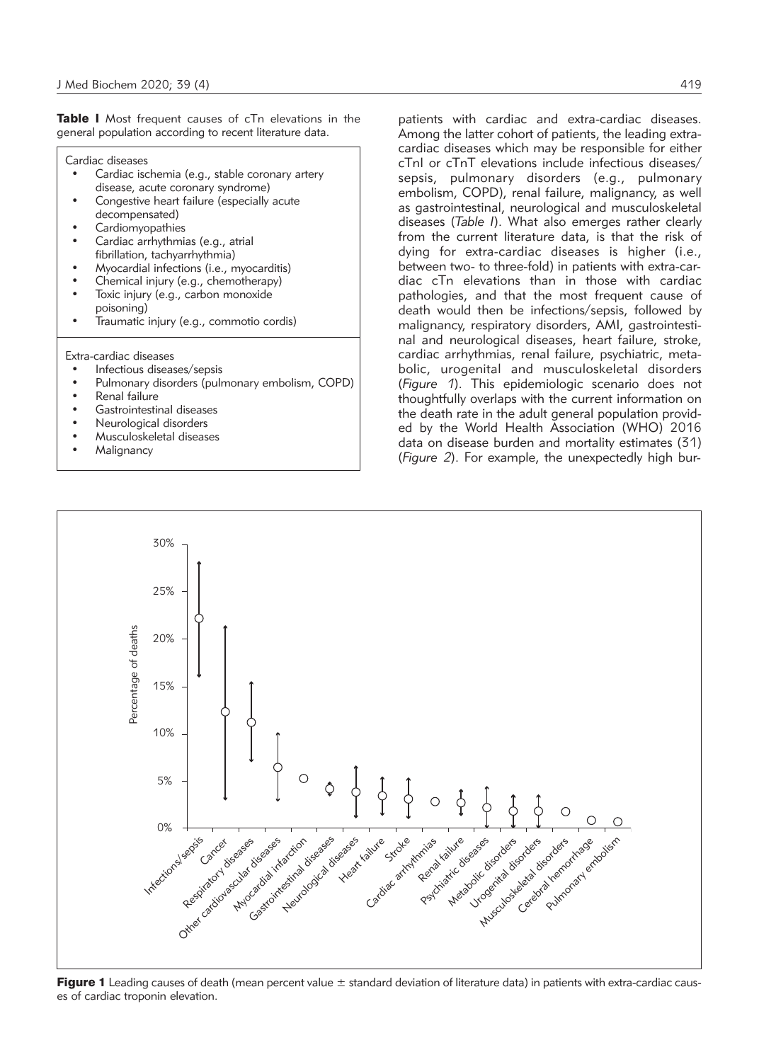Table I Most frequent causes of cTn elevations in the general population according to recent literature data.

Cardiac diseases

- Cardiac ischemia (e.g., stable coronary artery disease, acute coronary syndrome) Congestive heart failure (especially acute
- decompensated)
- Cardiomyopathies
- Cardiac arrhythmias (e.g., atrial fibrillation, tachyarrhythmia)
- Myocardial infections (i.e., myocarditis)
- Chemical injury (e.g., chemotherapy)
- Toxic injury (e.g., carbon monoxide poisoning)
- Traumatic injury (e.g., commotio cordis)

Extra-cardiac diseases

- Infectious diseases/sepsis
- Pulmonary disorders (pulmonary embolism, COPD)
- Renal failure
- Gastrointestinal diseases
- Neurological disorders
- Musculoskeletal diseases
- **Malignancy**

patients with cardiac and extra-cardiac diseases. Among the latter cohort of patients, the leading extracardiac diseases which may be responsible for either cTnI or cTnT elevations include infectious diseases/ sepsis, pulmonary disorders (e.g., pulmonary embolism, COPD), renal failure, malignancy, as well as gastrointestinal, neurological and musculoskeletal diseases (*Table I*). What also emerges rather clearly from the current literature data, is that the risk of dying for extra-cardiac diseases is higher (i.e., between two- to three-fold) in patients with extra-cardiac cTn elevations than in those with cardiac pathologies, and that the most frequent cause of death would then be infections/sepsis, followed by malignancy, respiratory disorders, AMI, gastrointestinal and neurological diseases, heart failure, stroke, cardiac arrhythmias, renal failure, psychiatric, metabolic, urogenital and musculoskeletal disorders (*Figure 1*). This epidemiologic scenario does not thoughtfully overlaps with the current information on the death rate in the adult general population provided by the World Health Association (WHO) 2016 data on disease burden and mortality estimates (31) (*Figure 2*). For example, the unexpectedly high bur-



Figure 1 Leading causes of death (mean percent value  $\pm$  standard deviation of literature data) in patients with extra-cardiac causes of cardiac troponin elevation.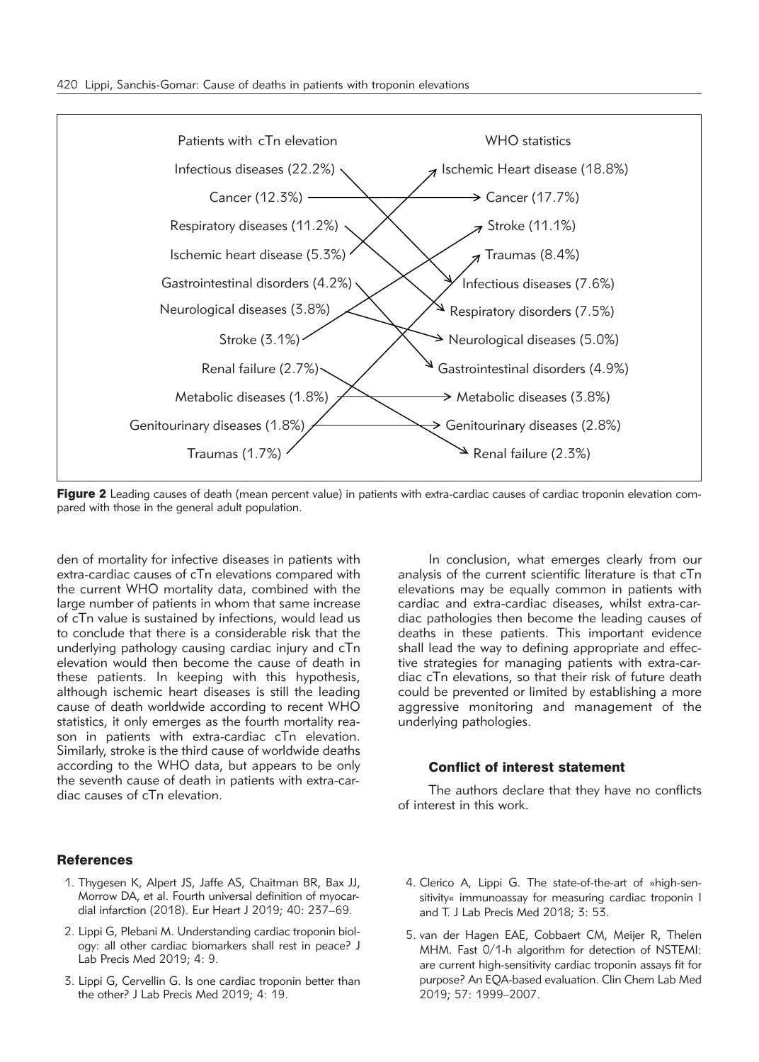

Figure 2 Leading causes of death (mean percent value) in patients with extra-cardiac causes of cardiac troponin elevation compared with those in the general adult population.

den of mortality for infective diseases in patients with extra-cardiac causes of cTn elevations compared with the current WHO mortality data, combined with the large number of patients in whom that same increase of cTn value is sustained by infections, would lead us to conclude that there is a considerable risk that the underlying pathology causing cardiac injury and cTn elevation would then become the cause of death in these patients. In keeping with this hypothesis, although ischemic heart diseases is still the leading cause of death worldwide according to recent WHO statistics, it only emerges as the fourth mortality reason in patients with extra-cardiac cTn elevation. Similarly, stroke is the third cause of worldwide deaths according to the WHO data, but appears to be only the seventh cause of death in patients with extra-cardiac causes of cTn elevation.

analysis of the current scientific literature is that cTn elevations may be equally common in patients with cardiac and extra-cardiac diseases, whilst extra-cardiac pathologies then become the leading causes of deaths in these patients. This important evidence shall lead the way to defining appropriate and effective strategies for managing patients with extra-cardiac cTn elevations, so that their risk of future death could be prevented or limited by establishing a more aggressive monitoring and management of the underlying pathologies.

In conclusion, what emerges clearly from our

#### Conflict of interest statement

The authors declare that they have no conflicts of interest in this work.

# **References**

- 1. Thygesen K, Alpert JS, Jaffe AS, Chaitman BR, Bax JJ, Morrow DA, et al. Fourth universal definition of myocardial infarction (2018). Eur Heart J 2019; 40: 237–69.
- 2. Lippi G, Plebani M. Understanding cardiac troponin biology: all other cardiac biomarkers shall rest in peace? J Lab Precis Med 2019; 4: 9.
- 3. Lippi G, Cervellin G. Is one cardiac troponin better than the other? J Lab Precis Med 2019; 4: 19.
- 4. Clerico A, Lippi G. The state-of-the-art of »high-sensitivity« immunoassay for measuring cardiac troponin I and T. J Lab Precis Med 2018; 3: 53.
- 5. van der Hagen EAE, Cobbaert CM, Meijer R, Thelen MHM. Fast 0/1-h algorithm for detection of NSTEMI: are current high-sensitivity cardiac troponin assays fit for purpose? An EQA-based evaluation. Clin Chem Lab Med 2019; 57: 1999–2007.